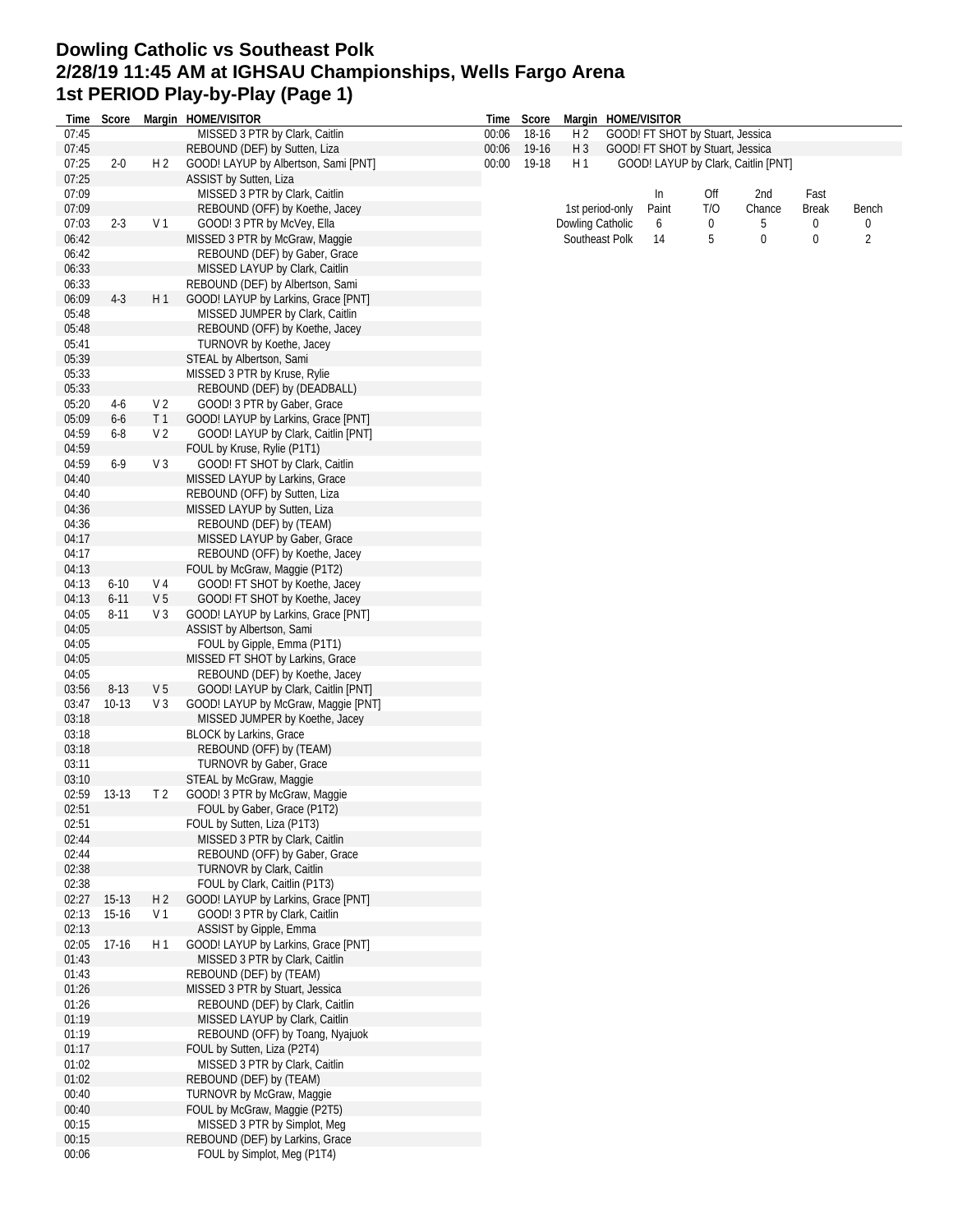## **Dowling Catholic vs Southeast Polk 2/28/19 11:45 AM at IGHSAU Championships, Wells Fargo Arena 1st PERIOD Play-by-Play (Page 1)**

| Time  | Score       |                | Margin HOME/VISITOR                  | Time  | Score |                  |                 | Margin HOME/VISITOR |                                  |                                     |              |       |
|-------|-------------|----------------|--------------------------------------|-------|-------|------------------|-----------------|---------------------|----------------------------------|-------------------------------------|--------------|-------|
| 07:45 |             |                | MISSED 3 PTR by Clark, Caitlin       | 00:06 | 18-16 | H <sub>2</sub>   |                 |                     | GOOD! FT SHOT by Stuart, Jessica |                                     |              |       |
| 07:45 |             |                | REBOUND (DEF) by Sutten, Liza        | 00:06 | 19-16 | $H_3$            |                 |                     | GOOD! FT SHOT by Stuart, Jessica |                                     |              |       |
| 07:25 | $2 - 0$     | H <sub>2</sub> | GOOD! LAYUP by Albertson, Sami [PNT] | 00:00 | 19-18 | H 1              |                 |                     |                                  | GOOD! LAYUP by Clark, Caitlin [PNT] |              |       |
| 07:25 |             |                | ASSIST by Sutten, Liza               |       |       |                  |                 |                     |                                  |                                     |              |       |
| 07:09 |             |                | MISSED 3 PTR by Clark, Caitlin       |       |       |                  |                 | In                  | Off                              | 2nd                                 | Fast         |       |
|       |             |                |                                      |       |       |                  |                 |                     |                                  |                                     |              |       |
| 07:09 |             |                | REBOUND (OFF) by Koethe, Jacey       |       |       |                  | 1st period-only | Paint               | T/O                              | Chance                              | <b>Break</b> | Bench |
| 07:03 | $2 - 3$     | V <sub>1</sub> | GOOD! 3 PTR by McVey, Ella           |       |       | Dowling Catholic |                 | 6                   | 0                                | 5                                   | 0            | 0     |
| 06:42 |             |                | MISSED 3 PTR by McGraw, Maggie       |       |       |                  | Southeast Polk  | 14                  | 5                                | 0                                   | $\mathbf 0$  | 2     |
| 06:42 |             |                | REBOUND (DEF) by Gaber, Grace        |       |       |                  |                 |                     |                                  |                                     |              |       |
| 06:33 |             |                | MISSED LAYUP by Clark, Caitlin       |       |       |                  |                 |                     |                                  |                                     |              |       |
| 06:33 |             |                | REBOUND (DEF) by Albertson, Sami     |       |       |                  |                 |                     |                                  |                                     |              |       |
| 06:09 | $4-3$       | H1             | GOOD! LAYUP by Larkins, Grace [PNT]  |       |       |                  |                 |                     |                                  |                                     |              |       |
| 05:48 |             |                | MISSED JUMPER by Clark, Caitlin      |       |       |                  |                 |                     |                                  |                                     |              |       |
|       |             |                |                                      |       |       |                  |                 |                     |                                  |                                     |              |       |
| 05:48 |             |                | REBOUND (OFF) by Koethe, Jacey       |       |       |                  |                 |                     |                                  |                                     |              |       |
| 05:41 |             |                | TURNOVR by Koethe, Jacey             |       |       |                  |                 |                     |                                  |                                     |              |       |
| 05:39 |             |                | STEAL by Albertson, Sami             |       |       |                  |                 |                     |                                  |                                     |              |       |
| 05:33 |             |                | MISSED 3 PTR by Kruse, Rylie         |       |       |                  |                 |                     |                                  |                                     |              |       |
| 05:33 |             |                | REBOUND (DEF) by (DEADBALL)          |       |       |                  |                 |                     |                                  |                                     |              |       |
| 05:20 | $4-6$       | V <sub>2</sub> | GOOD! 3 PTR by Gaber, Grace          |       |       |                  |                 |                     |                                  |                                     |              |       |
| 05:09 | $6-6$       | T <sub>1</sub> | GOOD! LAYUP by Larkins, Grace [PNT]  |       |       |                  |                 |                     |                                  |                                     |              |       |
| 04:59 | 6-8         | V <sub>2</sub> | GOOD! LAYUP by Clark, Caitlin [PNT]  |       |       |                  |                 |                     |                                  |                                     |              |       |
|       |             |                |                                      |       |       |                  |                 |                     |                                  |                                     |              |       |
| 04:59 |             |                | FOUL by Kruse, Rylie (P1T1)          |       |       |                  |                 |                     |                                  |                                     |              |       |
| 04:59 | $6-9$       | V <sub>3</sub> | GOOD! FT SHOT by Clark, Caitlin      |       |       |                  |                 |                     |                                  |                                     |              |       |
| 04:40 |             |                | MISSED LAYUP by Larkins, Grace       |       |       |                  |                 |                     |                                  |                                     |              |       |
| 04:40 |             |                | REBOUND (OFF) by Sutten, Liza        |       |       |                  |                 |                     |                                  |                                     |              |       |
| 04:36 |             |                | MISSED LAYUP by Sutten, Liza         |       |       |                  |                 |                     |                                  |                                     |              |       |
| 04:36 |             |                | REBOUND (DEF) by (TEAM)              |       |       |                  |                 |                     |                                  |                                     |              |       |
|       |             |                |                                      |       |       |                  |                 |                     |                                  |                                     |              |       |
| 04:17 |             |                | MISSED LAYUP by Gaber, Grace         |       |       |                  |                 |                     |                                  |                                     |              |       |
| 04:17 |             |                | REBOUND (OFF) by Koethe, Jacey       |       |       |                  |                 |                     |                                  |                                     |              |       |
| 04:13 |             |                | FOUL by McGraw, Maggie (P1T2)        |       |       |                  |                 |                     |                                  |                                     |              |       |
| 04:13 | $6 - 10$    | V 4            | GOOD! FT SHOT by Koethe, Jacey       |       |       |                  |                 |                     |                                  |                                     |              |       |
| 04:13 | $6 - 11$    | V <sub>5</sub> | GOOD! FT SHOT by Koethe, Jacey       |       |       |                  |                 |                     |                                  |                                     |              |       |
| 04:05 | $8 - 11$    | $V_3$          | GOOD! LAYUP by Larkins, Grace [PNT]  |       |       |                  |                 |                     |                                  |                                     |              |       |
| 04:05 |             |                | ASSIST by Albertson, Sami            |       |       |                  |                 |                     |                                  |                                     |              |       |
|       |             |                |                                      |       |       |                  |                 |                     |                                  |                                     |              |       |
| 04:05 |             |                | FOUL by Gipple, Emma (P1T1)          |       |       |                  |                 |                     |                                  |                                     |              |       |
| 04:05 |             |                | MISSED FT SHOT by Larkins, Grace     |       |       |                  |                 |                     |                                  |                                     |              |       |
| 04:05 |             |                | REBOUND (DEF) by Koethe, Jacey       |       |       |                  |                 |                     |                                  |                                     |              |       |
| 03:56 | $8 - 13$    | V <sub>5</sub> | GOOD! LAYUP by Clark, Caitlin [PNT]  |       |       |                  |                 |                     |                                  |                                     |              |       |
| 03:47 | $10-13$     | $V_3$          | GOOD! LAYUP by McGraw, Maggie [PNT]  |       |       |                  |                 |                     |                                  |                                     |              |       |
| 03:18 |             |                | MISSED JUMPER by Koethe, Jacey       |       |       |                  |                 |                     |                                  |                                     |              |       |
|       |             |                |                                      |       |       |                  |                 |                     |                                  |                                     |              |       |
| 03:18 |             |                | BLOCK by Larkins, Grace              |       |       |                  |                 |                     |                                  |                                     |              |       |
| 03:18 |             |                | REBOUND (OFF) by (TEAM)              |       |       |                  |                 |                     |                                  |                                     |              |       |
| 03:11 |             |                | TURNOVR by Gaber, Grace              |       |       |                  |                 |                     |                                  |                                     |              |       |
| 03:10 |             |                | STEAL by McGraw, Maggie              |       |       |                  |                 |                     |                                  |                                     |              |       |
| 02:59 | $13-13$     | T <sub>2</sub> | GOOD! 3 PTR by McGraw, Maggie        |       |       |                  |                 |                     |                                  |                                     |              |       |
| 02:51 |             |                | FOUL by Gaber, Grace (P1T2)          |       |       |                  |                 |                     |                                  |                                     |              |       |
| 02:51 |             |                | FOUL by Sutten, Liza (P1T3)          |       |       |                  |                 |                     |                                  |                                     |              |       |
|       |             |                |                                      |       |       |                  |                 |                     |                                  |                                     |              |       |
| 02:44 |             |                | MISSED 3 PTR by Clark, Caitlin       |       |       |                  |                 |                     |                                  |                                     |              |       |
| 02:44 |             |                | REBOUND (OFF) by Gaber, Grace        |       |       |                  |                 |                     |                                  |                                     |              |       |
| 02:38 |             |                | TURNOVR by Clark, Caitlin            |       |       |                  |                 |                     |                                  |                                     |              |       |
| 02:38 |             |                | FOUL by Clark, Caitlin (P1T3)        |       |       |                  |                 |                     |                                  |                                     |              |       |
|       | 02:27 15-13 | H <sub>2</sub> | GOOD! LAYUP by Larkins, Grace [PNT]  |       |       |                  |                 |                     |                                  |                                     |              |       |
| 02:13 | $15-16$     | V 1            | GOOD! 3 PTR by Clark, Caitlin        |       |       |                  |                 |                     |                                  |                                     |              |       |
| 02:13 |             |                | ASSIST by Gipple, Emma               |       |       |                  |                 |                     |                                  |                                     |              |       |
|       |             |                |                                      |       |       |                  |                 |                     |                                  |                                     |              |       |
| 02:05 | $17-16$     | H 1            | GOOD! LAYUP by Larkins, Grace [PNT]  |       |       |                  |                 |                     |                                  |                                     |              |       |
| 01:43 |             |                | MISSED 3 PTR by Clark, Caitlin       |       |       |                  |                 |                     |                                  |                                     |              |       |
| 01:43 |             |                | REBOUND (DEF) by (TEAM)              |       |       |                  |                 |                     |                                  |                                     |              |       |
| 01:26 |             |                | MISSED 3 PTR by Stuart, Jessica      |       |       |                  |                 |                     |                                  |                                     |              |       |
| 01:26 |             |                | REBOUND (DEF) by Clark, Caitlin      |       |       |                  |                 |                     |                                  |                                     |              |       |
| 01:19 |             |                | MISSED LAYUP by Clark, Caitlin       |       |       |                  |                 |                     |                                  |                                     |              |       |
| 01:19 |             |                | REBOUND (OFF) by Toang, Nyajuok      |       |       |                  |                 |                     |                                  |                                     |              |       |
|       |             |                |                                      |       |       |                  |                 |                     |                                  |                                     |              |       |
| 01:17 |             |                | FOUL by Sutten, Liza (P2T4)          |       |       |                  |                 |                     |                                  |                                     |              |       |
| 01:02 |             |                | MISSED 3 PTR by Clark, Caitlin       |       |       |                  |                 |                     |                                  |                                     |              |       |
| 01:02 |             |                | REBOUND (DEF) by (TEAM)              |       |       |                  |                 |                     |                                  |                                     |              |       |
| 00:40 |             |                | TURNOVR by McGraw, Maggie            |       |       |                  |                 |                     |                                  |                                     |              |       |
| 00:40 |             |                | FOUL by McGraw, Maggie (P2T5)        |       |       |                  |                 |                     |                                  |                                     |              |       |
| 00:15 |             |                | MISSED 3 PTR by Simplot, Meg         |       |       |                  |                 |                     |                                  |                                     |              |       |
| 00:15 |             |                | REBOUND (DEF) by Larkins, Grace      |       |       |                  |                 |                     |                                  |                                     |              |       |
|       |             |                |                                      |       |       |                  |                 |                     |                                  |                                     |              |       |
| 00:06 |             |                | FOUL by Simplot, Meg (P1T4)          |       |       |                  |                 |                     |                                  |                                     |              |       |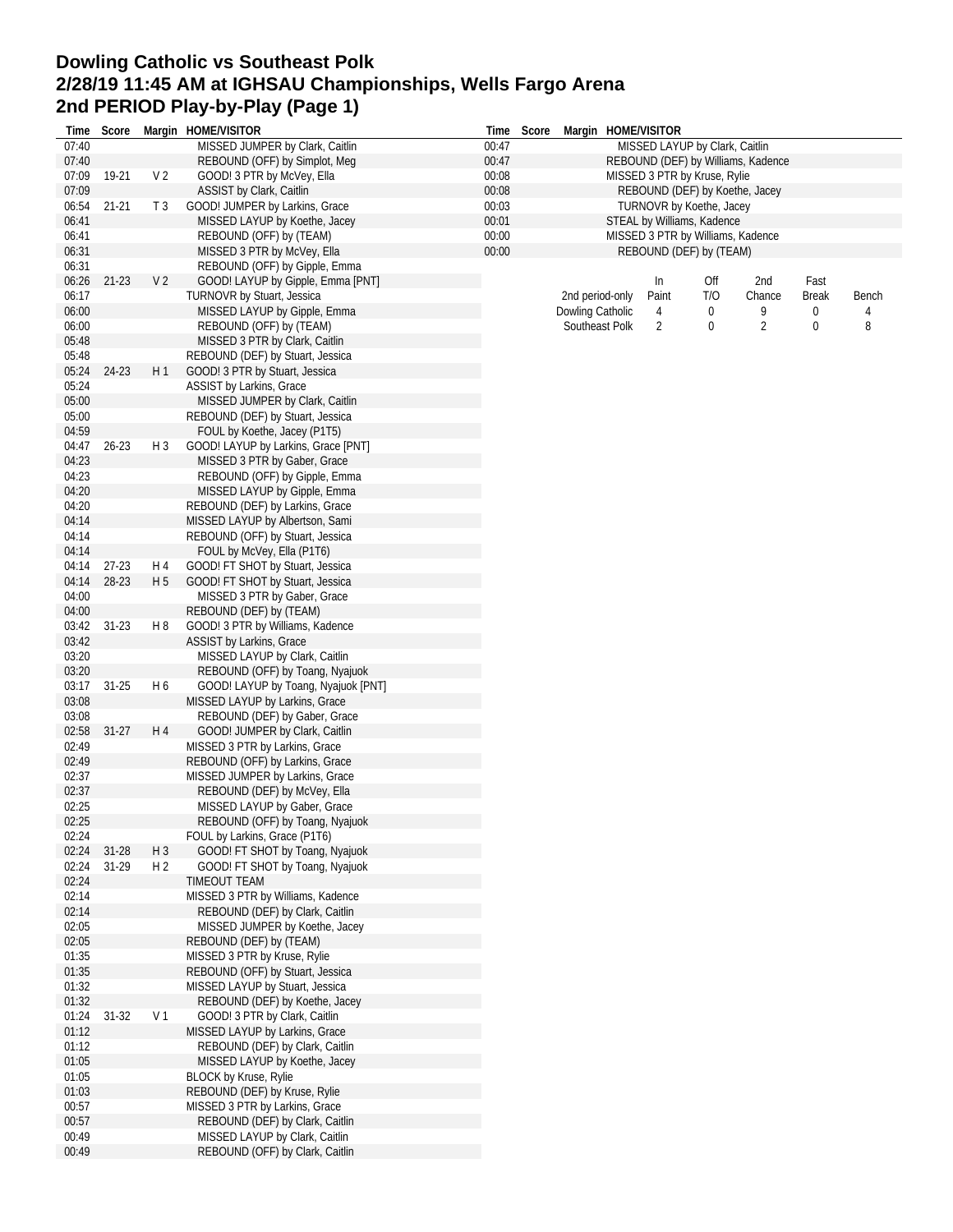## **Dowling Catholic vs Southeast Polk 2/28/19 11:45 AM at IGHSAU Championships, Wells Fargo Arena 2nd PERIOD Play-by-Play (Page 1)**

|                |                  |                       | Time Score Margin HOME/VISITOR                                       |       | Time Score              |                  |  | Margin HOME/VISITOR            |     |                                    |              |       |  |
|----------------|------------------|-----------------------|----------------------------------------------------------------------|-------|-------------------------|------------------|--|--------------------------------|-----|------------------------------------|--------------|-------|--|
| 07:40          |                  |                       | MISSED JUMPER by Clark, Caitlin                                      | 00:47 |                         |                  |  | MISSED LAYUP by Clark, Caitlin |     |                                    |              |       |  |
| 07:40          |                  |                       | REBOUND (OFF) by Simplot, Meg                                        | 00:47 |                         |                  |  |                                |     | REBOUND (DEF) by Williams, Kadence |              |       |  |
| 07:09          | 19-21            | V <sub>2</sub>        | GOOD! 3 PTR by McVey, Ella                                           | 00:08 |                         |                  |  | MISSED 3 PTR by Kruse, Rylie   |     |                                    |              |       |  |
| 07:09          |                  |                       | ASSIST by Clark, Caitlin                                             | 00:08 |                         |                  |  |                                |     | REBOUND (DEF) by Koethe, Jacey     |              |       |  |
| 06:54          | $21 - 21$        | T <sub>3</sub>        | GOOD! JUMPER by Larkins, Grace                                       | 00:03 |                         |                  |  | TURNOVR by Koethe, Jacey       |     |                                    |              |       |  |
| 06:41          |                  |                       | MISSED LAYUP by Koethe, Jacey                                        | 00:01 |                         |                  |  | STEAL by Williams, Kadence     |     |                                    |              |       |  |
| 06:41          |                  |                       | REBOUND (OFF) by (TEAM)                                              | 00:00 |                         |                  |  |                                |     | MISSED 3 PTR by Williams, Kadence  |              |       |  |
| 06:31<br>06:31 |                  |                       | MISSED 3 PTR by McVey, Ella                                          | 00:00 | REBOUND (DEF) by (TEAM) |                  |  |                                |     |                                    |              |       |  |
| 06:26          | $21 - 23$        | V <sub>2</sub>        | REBOUND (OFF) by Gipple, Emma<br>GOOD! LAYUP by Gipple, Emma [PNT]   |       |                         |                  |  | In                             | Off | 2nd                                | Fast         |       |  |
| 06:17          |                  |                       | TURNOVR by Stuart, Jessica                                           |       |                         | 2nd period-only  |  | Paint                          | T/O | Chance                             | <b>Break</b> | Bench |  |
| 06:00          |                  |                       | MISSED LAYUP by Gipple, Emma                                         |       |                         | Dowling Catholic |  | 4                              | 0   | 9                                  | 0            | 4     |  |
| 06:00          |                  |                       | REBOUND (OFF) by (TEAM)                                              |       |                         | Southeast Polk   |  | 2                              | 0   | $\overline{2}$                     | 0            | 8     |  |
| 05:48          |                  |                       | MISSED 3 PTR by Clark, Caitlin                                       |       |                         |                  |  |                                |     |                                    |              |       |  |
| 05:48          |                  |                       | REBOUND (DEF) by Stuart, Jessica                                     |       |                         |                  |  |                                |     |                                    |              |       |  |
| 05:24          | 24-23            | H <sub>1</sub>        | GOOD! 3 PTR by Stuart, Jessica                                       |       |                         |                  |  |                                |     |                                    |              |       |  |
| 05:24          |                  |                       | <b>ASSIST by Larkins, Grace</b>                                      |       |                         |                  |  |                                |     |                                    |              |       |  |
| 05:00          |                  |                       | MISSED JUMPER by Clark, Caitlin                                      |       |                         |                  |  |                                |     |                                    |              |       |  |
| 05:00          |                  |                       | REBOUND (DEF) by Stuart, Jessica                                     |       |                         |                  |  |                                |     |                                    |              |       |  |
| 04:59          |                  |                       | FOUL by Koethe, Jacey (P1T5)                                         |       |                         |                  |  |                                |     |                                    |              |       |  |
| 04:47          | $26 - 23$        | H <sub>3</sub>        | GOOD! LAYUP by Larkins, Grace [PNT]                                  |       |                         |                  |  |                                |     |                                    |              |       |  |
| 04:23          |                  |                       | MISSED 3 PTR by Gaber, Grace                                         |       |                         |                  |  |                                |     |                                    |              |       |  |
| 04:23          |                  |                       | REBOUND (OFF) by Gipple, Emma                                        |       |                         |                  |  |                                |     |                                    |              |       |  |
| 04:20          |                  |                       | MISSED LAYUP by Gipple, Emma                                         |       |                         |                  |  |                                |     |                                    |              |       |  |
| 04:20          |                  |                       | REBOUND (DEF) by Larkins, Grace                                      |       |                         |                  |  |                                |     |                                    |              |       |  |
| 04:14          |                  |                       | MISSED LAYUP by Albertson, Sami                                      |       |                         |                  |  |                                |     |                                    |              |       |  |
| 04:14          |                  |                       | REBOUND (OFF) by Stuart, Jessica                                     |       |                         |                  |  |                                |     |                                    |              |       |  |
| 04:14<br>04:14 |                  |                       | FOUL by McVey, Ella (P1T6)                                           |       |                         |                  |  |                                |     |                                    |              |       |  |
| 04:14          | $27-23$<br>28-23 | H 4<br>H <sub>5</sub> | GOOD! FT SHOT by Stuart, Jessica<br>GOOD! FT SHOT by Stuart, Jessica |       |                         |                  |  |                                |     |                                    |              |       |  |
| 04:00          |                  |                       | MISSED 3 PTR by Gaber, Grace                                         |       |                         |                  |  |                                |     |                                    |              |       |  |
| 04:00          |                  |                       | REBOUND (DEF) by (TEAM)                                              |       |                         |                  |  |                                |     |                                    |              |       |  |
| 03:42          | $31-23$          | H 8                   | GOOD! 3 PTR by Williams, Kadence                                     |       |                         |                  |  |                                |     |                                    |              |       |  |
| 03:42          |                  |                       | ASSIST by Larkins, Grace                                             |       |                         |                  |  |                                |     |                                    |              |       |  |
| 03:20          |                  |                       | MISSED LAYUP by Clark, Caitlin                                       |       |                         |                  |  |                                |     |                                    |              |       |  |
| 03:20          |                  |                       | REBOUND (OFF) by Toang, Nyajuok                                      |       |                         |                  |  |                                |     |                                    |              |       |  |
| 03:17          | $31 - 25$        | H 6                   | GOOD! LAYUP by Toang, Nyajuok [PNT]                                  |       |                         |                  |  |                                |     |                                    |              |       |  |
| 03:08          |                  |                       | MISSED LAYUP by Larkins, Grace                                       |       |                         |                  |  |                                |     |                                    |              |       |  |
| 03:08          |                  |                       | REBOUND (DEF) by Gaber, Grace                                        |       |                         |                  |  |                                |     |                                    |              |       |  |
| 02:58          | $31 - 27$        | H4                    | GOOD! JUMPER by Clark, Caitlin                                       |       |                         |                  |  |                                |     |                                    |              |       |  |
| 02:49          |                  |                       | MISSED 3 PTR by Larkins, Grace                                       |       |                         |                  |  |                                |     |                                    |              |       |  |
| 02:49          |                  |                       | REBOUND (OFF) by Larkins, Grace                                      |       |                         |                  |  |                                |     |                                    |              |       |  |
| 02:37          |                  |                       | MISSED JUMPER by Larkins, Grace                                      |       |                         |                  |  |                                |     |                                    |              |       |  |
| 02:37          |                  |                       | REBOUND (DEF) by McVey, Ella                                         |       |                         |                  |  |                                |     |                                    |              |       |  |
| 02:25          |                  |                       | MISSED LAYUP by Gaber, Grace                                         |       |                         |                  |  |                                |     |                                    |              |       |  |
| 02:25<br>02:24 |                  |                       | REBOUND (OFF) by Toang, Nyajuok                                      |       |                         |                  |  |                                |     |                                    |              |       |  |
|                | 02:24 31-28      | H <sub>3</sub>        | FOUL by Larkins, Grace (P1T6)<br>GOOD! FT SHOT by Toang, Nyajuok     |       |                         |                  |  |                                |     |                                    |              |       |  |
| 02:24          | $31-29$          | H 2                   | GOOD! FT SHOT by Toang, Nyajuok                                      |       |                         |                  |  |                                |     |                                    |              |       |  |
| 02:24          |                  |                       | TIMEOUT TEAM                                                         |       |                         |                  |  |                                |     |                                    |              |       |  |
| 02:14          |                  |                       | MISSED 3 PTR by Williams, Kadence                                    |       |                         |                  |  |                                |     |                                    |              |       |  |
| 02:14          |                  |                       | REBOUND (DEF) by Clark, Caitlin                                      |       |                         |                  |  |                                |     |                                    |              |       |  |
| 02:05          |                  |                       | MISSED JUMPER by Koethe, Jacey                                       |       |                         |                  |  |                                |     |                                    |              |       |  |
| 02:05          |                  |                       | REBOUND (DEF) by (TEAM)                                              |       |                         |                  |  |                                |     |                                    |              |       |  |
| 01:35          |                  |                       | MISSED 3 PTR by Kruse, Rylie                                         |       |                         |                  |  |                                |     |                                    |              |       |  |
| 01:35          |                  |                       | REBOUND (OFF) by Stuart, Jessica                                     |       |                         |                  |  |                                |     |                                    |              |       |  |
| 01:32          |                  |                       | MISSED LAYUP by Stuart, Jessica                                      |       |                         |                  |  |                                |     |                                    |              |       |  |
| 01:32          |                  |                       | REBOUND (DEF) by Koethe, Jacey                                       |       |                         |                  |  |                                |     |                                    |              |       |  |
| 01:24          | $31 - 32$        | V <sub>1</sub>        | GOOD! 3 PTR by Clark, Caitlin                                        |       |                         |                  |  |                                |     |                                    |              |       |  |
| 01:12          |                  |                       | MISSED LAYUP by Larkins, Grace                                       |       |                         |                  |  |                                |     |                                    |              |       |  |
| 01:12          |                  |                       | REBOUND (DEF) by Clark, Caitlin                                      |       |                         |                  |  |                                |     |                                    |              |       |  |
| 01:05          |                  |                       | MISSED LAYUP by Koethe, Jacey<br><b>BLOCK by Kruse, Rylie</b>        |       |                         |                  |  |                                |     |                                    |              |       |  |
| 01:05<br>01:03 |                  |                       | REBOUND (DEF) by Kruse, Rylie                                        |       |                         |                  |  |                                |     |                                    |              |       |  |
| 00:57          |                  |                       | MISSED 3 PTR by Larkins, Grace                                       |       |                         |                  |  |                                |     |                                    |              |       |  |
| 00:57          |                  |                       | REBOUND (DEF) by Clark, Caitlin                                      |       |                         |                  |  |                                |     |                                    |              |       |  |
| 00:49          |                  |                       | MISSED LAYUP by Clark, Caitlin                                       |       |                         |                  |  |                                |     |                                    |              |       |  |
| 00:49          |                  |                       | REBOUND (OFF) by Clark, Caitlin                                      |       |                         |                  |  |                                |     |                                    |              |       |  |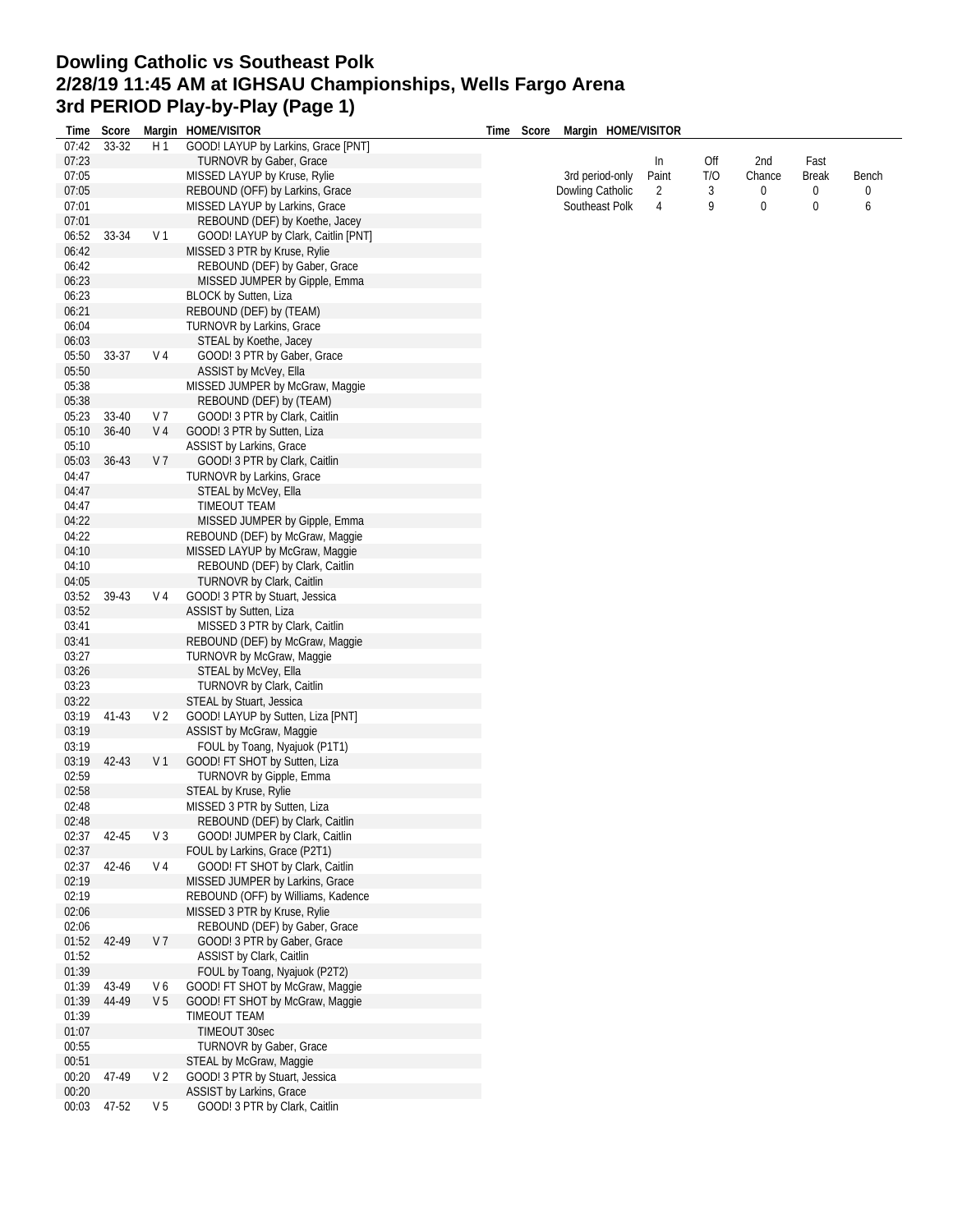## **Dowling Catholic vs Southeast Polk 2/28/19 11:45 AM at IGHSAU Championships, Wells Fargo Arena 3rd PERIOD Play-by-Play (Page 1)**

| Time  | Score     |                | Margin HOME/VISITOR                 | Time | Score | Margin HOME/VISITOR |                |     |        |              |       |
|-------|-----------|----------------|-------------------------------------|------|-------|---------------------|----------------|-----|--------|--------------|-------|
| 07:42 | 33-32     | H <sub>1</sub> | GOOD! LAYUP by Larkins, Grace [PNT] |      |       |                     |                |     |        |              |       |
| 07:23 |           |                | <b>TURNOVR by Gaber, Grace</b>      |      |       |                     | In             | Off | 2nd    | Fast         |       |
| 07:05 |           |                | MISSED LAYUP by Kruse, Rylie        |      |       | 3rd period-only     | Paint          | T/O | Chance | <b>Break</b> | Bench |
| 07:05 |           |                | REBOUND (OFF) by Larkins, Grace     |      |       | Dowling Catholic    | 2              | 3   | 0      | 0            | 0     |
| 07:01 |           |                | MISSED LAYUP by Larkins, Grace      |      |       | Southeast Polk      | $\overline{4}$ | 9   | 0      | 0            | 6     |
| 07:01 |           |                | REBOUND (DEF) by Koethe, Jacey      |      |       |                     |                |     |        |              |       |
| 06:52 | 33-34     | V <sub>1</sub> | GOOD! LAYUP by Clark, Caitlin [PNT] |      |       |                     |                |     |        |              |       |
| 06:42 |           |                | MISSED 3 PTR by Kruse, Rylie        |      |       |                     |                |     |        |              |       |
| 06:42 |           |                | REBOUND (DEF) by Gaber, Grace       |      |       |                     |                |     |        |              |       |
| 06:23 |           |                | MISSED JUMPER by Gipple, Emma       |      |       |                     |                |     |        |              |       |
| 06:23 |           |                | BLOCK by Sutten, Liza               |      |       |                     |                |     |        |              |       |
| 06:21 |           |                | REBOUND (DEF) by (TEAM)             |      |       |                     |                |     |        |              |       |
| 06:04 |           |                | <b>TURNOVR by Larkins, Grace</b>    |      |       |                     |                |     |        |              |       |
| 06:03 |           |                | STEAL by Koethe, Jacey              |      |       |                     |                |     |        |              |       |
| 05:50 | 33-37     | V <sub>4</sub> | GOOD! 3 PTR by Gaber, Grace         |      |       |                     |                |     |        |              |       |
| 05:50 |           |                | ASSIST by McVey, Ella               |      |       |                     |                |     |        |              |       |
| 05:38 |           |                | MISSED JUMPER by McGraw, Maggie     |      |       |                     |                |     |        |              |       |
| 05:38 |           |                |                                     |      |       |                     |                |     |        |              |       |
|       |           |                | REBOUND (DEF) by (TEAM)             |      |       |                     |                |     |        |              |       |
| 05:23 | 33-40     | V 7            | GOOD! 3 PTR by Clark, Caitlin       |      |       |                     |                |     |        |              |       |
| 05:10 | $36 - 40$ | V <sub>4</sub> | GOOD! 3 PTR by Sutten, Liza         |      |       |                     |                |     |        |              |       |
| 05:10 |           |                | ASSIST by Larkins, Grace            |      |       |                     |                |     |        |              |       |
| 05:03 | $36 - 43$ | V <sub>7</sub> | GOOD! 3 PTR by Clark, Caitlin       |      |       |                     |                |     |        |              |       |
| 04:47 |           |                | <b>TURNOVR by Larkins, Grace</b>    |      |       |                     |                |     |        |              |       |
| 04:47 |           |                | STEAL by McVey, Ella                |      |       |                     |                |     |        |              |       |
| 04:47 |           |                | TIMEOUT TEAM                        |      |       |                     |                |     |        |              |       |
| 04:22 |           |                | MISSED JUMPER by Gipple, Emma       |      |       |                     |                |     |        |              |       |
| 04:22 |           |                | REBOUND (DEF) by McGraw, Maggie     |      |       |                     |                |     |        |              |       |
| 04:10 |           |                | MISSED LAYUP by McGraw, Maggie      |      |       |                     |                |     |        |              |       |
| 04:10 |           |                | REBOUND (DEF) by Clark, Caitlin     |      |       |                     |                |     |        |              |       |
| 04:05 |           |                | TURNOVR by Clark, Caitlin           |      |       |                     |                |     |        |              |       |
| 03:52 | 39-43     | V 4            | GOOD! 3 PTR by Stuart, Jessica      |      |       |                     |                |     |        |              |       |
| 03:52 |           |                | ASSIST by Sutten, Liza              |      |       |                     |                |     |        |              |       |
| 03:41 |           |                | MISSED 3 PTR by Clark, Caitlin      |      |       |                     |                |     |        |              |       |
| 03:41 |           |                | REBOUND (DEF) by McGraw, Maggie     |      |       |                     |                |     |        |              |       |
| 03:27 |           |                | TURNOVR by McGraw, Maggie           |      |       |                     |                |     |        |              |       |
| 03:26 |           |                | STEAL by McVey, Ella                |      |       |                     |                |     |        |              |       |
| 03:23 |           |                | TURNOVR by Clark, Caitlin           |      |       |                     |                |     |        |              |       |
| 03:22 |           |                | STEAL by Stuart, Jessica            |      |       |                     |                |     |        |              |       |
| 03:19 | 41-43     | V 2            | GOOD! LAYUP by Sutten, Liza [PNT]   |      |       |                     |                |     |        |              |       |
| 03:19 |           |                | ASSIST by McGraw, Maggie            |      |       |                     |                |     |        |              |       |
| 03:19 |           |                | FOUL by Toang, Nyajuok (P1T1)       |      |       |                     |                |     |        |              |       |
| 03:19 | 42-43     | V <sub>1</sub> | GOOD! FT SHOT by Sutten, Liza       |      |       |                     |                |     |        |              |       |
| 02:59 |           |                | TURNOVR by Gipple, Emma             |      |       |                     |                |     |        |              |       |
| 02:58 |           |                | STEAL by Kruse, Rylie               |      |       |                     |                |     |        |              |       |
| 02:48 |           |                | MISSED 3 PTR by Sutten, Liza        |      |       |                     |                |     |        |              |       |
| 02:48 |           |                | REBOUND (DEF) by Clark, Caitlin     |      |       |                     |                |     |        |              |       |
| 02:37 | 42-45     | V <sub>3</sub> | GOOD! JUMPER by Clark, Caitlin      |      |       |                     |                |     |        |              |       |
| 02:37 |           |                | FOUL by Larkins, Grace (P2T1)       |      |       |                     |                |     |        |              |       |
| 02:37 | 42-46     | V 4            | GOOD! FT SHOT by Clark, Caitlin     |      |       |                     |                |     |        |              |       |
| 02:19 |           |                | MISSED JUMPER by Larkins, Grace     |      |       |                     |                |     |        |              |       |
| 02:19 |           |                | REBOUND (OFF) by Williams, Kadence  |      |       |                     |                |     |        |              |       |
|       |           |                | MISSED 3 PTR by Kruse, Rylie        |      |       |                     |                |     |        |              |       |
| 02:06 |           |                |                                     |      |       |                     |                |     |        |              |       |
| 02:06 |           |                | REBOUND (DEF) by Gaber, Grace       |      |       |                     |                |     |        |              |       |
| 01:52 | 42-49     | V 7            | GOOD! 3 PTR by Gaber, Grace         |      |       |                     |                |     |        |              |       |
| 01:52 |           |                | ASSIST by Clark, Caitlin            |      |       |                     |                |     |        |              |       |
| 01:39 |           |                | FOUL by Toang, Nyajuok (P2T2)       |      |       |                     |                |     |        |              |       |
| 01:39 | 43-49     | V6             | GOOD! FT SHOT by McGraw, Maggie     |      |       |                     |                |     |        |              |       |
| 01:39 | 44-49     | V 5            | GOOD! FT SHOT by McGraw, Maggie     |      |       |                     |                |     |        |              |       |
| 01:39 |           |                | TIMEOUT TEAM                        |      |       |                     |                |     |        |              |       |
| 01:07 |           |                | TIMEOUT 30sec                       |      |       |                     |                |     |        |              |       |
| 00:55 |           |                | TURNOVR by Gaber, Grace             |      |       |                     |                |     |        |              |       |
| 00:51 |           |                | STEAL by McGraw, Maggie             |      |       |                     |                |     |        |              |       |
| 00:20 | 47-49     | V <sub>2</sub> | GOOD! 3 PTR by Stuart, Jessica      |      |       |                     |                |     |        |              |       |
| 00:20 |           |                | ASSIST by Larkins, Grace            |      |       |                     |                |     |        |              |       |
| 00:03 | 47-52     | V <sub>5</sub> | GOOD! 3 PTR by Clark, Caitlin       |      |       |                     |                |     |        |              |       |